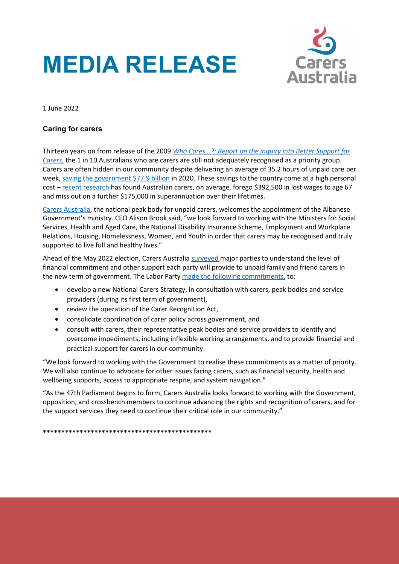## **MEDIA RELEASE**



1 June 2022

## **Caring for carers**

Thirteen years on from release of the 2009 *[Who Cares...?: Report on the inquiry into Better Support for](https://www.aph.gov.au/parliamentary_business/committees/house_of_representatives_committees?url=fchy/carers/report.htm)  [Carers](https://www.aph.gov.au/parliamentary_business/committees/house_of_representatives_committees?url=fchy/carers/report.htm)*, the 1 in 10 Australians who are carers are still not adequately recognised as a priority group. Carers are often hidden in our community despite delivering an average of 35.2 hours of unpaid care per week, [saving the government \\$77.9 billion](https://www.carersaustralia.com.au/wp-content/uploads/2020/07/FINAL-Value-of-Informal-Care-22-May-2020_No-CIC.pdf) in 2020. These savings to the country come at a high personal cost – [recent research](https://www.carersaustralia.com.au/wp-content/uploads/2022/04/Caring-Costs-Us_Summary-of-Findings_FINAL_070422.pdf) has found Australian carers, on average, forego \$392,500 in lost wages to age 67 and miss out on a further \$175,000 in superannuation over their lifetimes.

[Carers Australia,](https://www.carersaustralia.com.au/) the national peak body for unpaid carers, welcomes the appointment of the Albanese Government's ministry. CEO Alison Brook said, "we look forward to working with the Ministers for Social Services, Health and Aged Care, the National Disability Insurance Scheme, Employment and Workplace Relations, Housing, Homelessness, Women, and Youth in order that carers may be recognised and truly supported to live full and healthy lives."

Ahead of the May 2022 election, Carers Australia [surveyed](https://www.carersaustralia.com.au/wp-content/uploads/2022/05/FINAL_Carers-Australia-MR_2022-Election-Survey-Responses_May-2022.pdf) major parties to understand the level of financial commitment and other support each party will provide to unpaid family and friend carers in the new term of government. The Labor Part[y made the following commitments,](https://www.carersaustralia.com.au/wp-content/uploads/2022/05/FINAL_Summary-CA-2022-election-survey.pdf) to:

- develop a new National Carers Strategy, in consultation with carers, peak bodies and service providers (during its first term of government),
- review the operation of the Carer Recognition Act,
- consolidate coordination of carer policy across government, and
- consult with carers, their representative peak bodies and service providers to identify and overcome impediments, including inflexible working arrangements, and to provide financial and practical support for carers in our community.

"We look forward to working with the Government to realise these commitments as a matter of priority. We will also continue to advocate for other issues facing carers, such as financial security, health and wellbeing supports, access to appropriate respite, and system navigation."

"As the 47th Parliament begins to form, Carers Australia looks forward to working with the Government, opposition, and crossbench members to continue advancing the rights and recognition of carers, and for the support services they need to continue their critical role in our community."

**\*\*\*\*\*\*\*\*\*\*\*\*\*\*\*\*\*\*\*\*\*\*\*\*\*\*\*\*\*\*\*\*\*\*\*\*\*\*\*\*\*\*\*\*\*\***